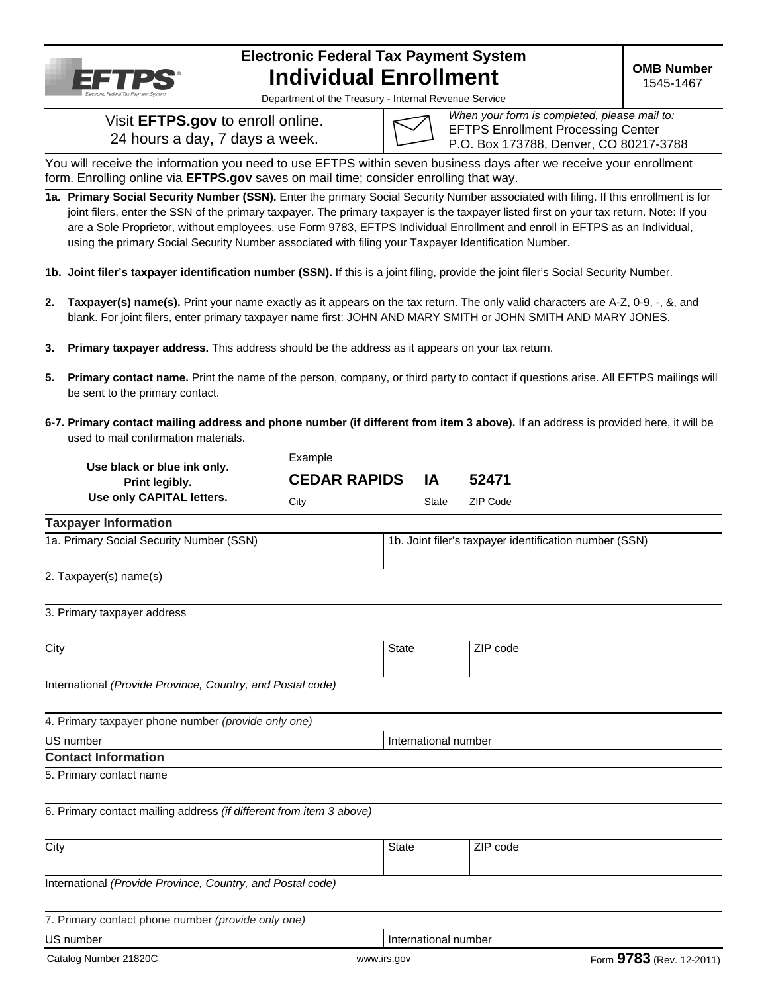

# **Electronic Federal Tax Payment System Individual Enrollment**

**OMB Number**  1545-1467

Department of the Treasury - Internal Revenue Service

Visit **EFTPS.gov** to enroll online. 24 hours a day, 7 days a week.

| Wh |
|----|
| ьF |
|    |

*When your form is completed, please mail to:*  **TPS Enrollment Processing Center** 0. Box 173788, Denver, CO 80217-3788

You will receive the information you need to use EFTPS within seven business days after we receive your enrollment form. Enrolling online via **EFTPS.gov** saves on mail time; consider enrolling that way.

**1a. Primary Social Security Number (SSN).** Enter the primary Social Security Number associated with filing. If this enrollment is for joint filers, enter the SSN of the primary taxpayer. The primary taxpayer is the taxpayer listed first on your tax return. Note: If you are a Sole Proprietor, without employees, use Form 9783, EFTPS Individual Enrollment and enroll in EFTPS as an Individual, using the primary Social Security Number associated with filing your Taxpayer Identification Number.

- **1b. Joint filer's taxpayer identification number (SSN).** If this is a joint filing, provide the joint filer's Social Security Number.
- **2. Taxpayer(s) name(s).** Print your name exactly as it appears on the tax return. The only valid characters are A-Z, 0-9, -, &, and blank. For joint filers, enter primary taxpayer name first: JOHN AND MARY SMITH or JOHN SMITH AND MARY JONES.
- **3. Primary taxpayer address.** This address should be the address as it appears on your tax return.
- **5. Primary contact name.** Print the name of the person, company, or third party to contact if questions arise. All EFTPS mailings will be sent to the primary contact.
- **6-7. Primary contact mailing address and phone number (if different from item 3 above).** If an address is provided here, it will be used to mail confirmation materials.

|                                                                     | Example             |                      |                                                        |                          |
|---------------------------------------------------------------------|---------------------|----------------------|--------------------------------------------------------|--------------------------|
| Use black or blue ink only.<br>Print legibly.                       | <b>CEDAR RAPIDS</b> | IA                   | 52471                                                  |                          |
| Use only CAPITAL letters.                                           | City                | <b>State</b>         | ZIP Code                                               |                          |
| <b>Taxpayer Information</b>                                         |                     |                      |                                                        |                          |
| 1a. Primary Social Security Number (SSN)                            |                     |                      | 1b. Joint filer's taxpayer identification number (SSN) |                          |
| 2. Taxpayer(s) name(s)                                              |                     |                      |                                                        |                          |
| 3. Primary taxpayer address                                         |                     |                      |                                                        |                          |
| City                                                                |                     | <b>State</b>         | ZIP code                                               |                          |
| International (Provide Province, Country, and Postal code)          |                     |                      |                                                        |                          |
| 4. Primary taxpayer phone number (provide only one)                 |                     |                      |                                                        |                          |
| US number                                                           |                     | International number |                                                        |                          |
| <b>Contact Information</b>                                          |                     |                      |                                                        |                          |
| 5. Primary contact name                                             |                     |                      |                                                        |                          |
| 6. Primary contact mailing address (if different from item 3 above) |                     |                      |                                                        |                          |
| City                                                                |                     | <b>State</b>         | ZIP code                                               |                          |
| International (Provide Province, Country, and Postal code)          |                     |                      |                                                        |                          |
| 7. Primary contact phone number (provide only one)                  |                     |                      |                                                        |                          |
| US number                                                           |                     | International number |                                                        |                          |
| Catalog Number 21820C                                               | www.irs.gov         |                      |                                                        | Form 9783 (Rev. 12-2011) |